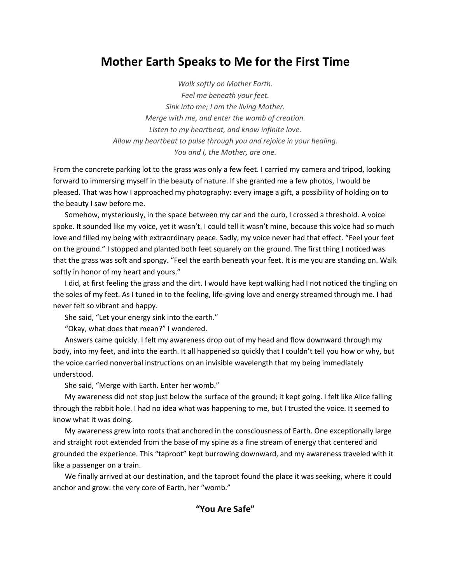# **Mother Earth Speaks to Me for the First Time**

*Walk softly on Mother Earth. Feel me beneath your feet. Sink into me; I am the living Mother. Merge with me, and enter the womb of creation. Listen to my heartbeat, and know infinite love. Allow my heartbeat to pulse through you and rejoice in your healing. You and I, the Mother, are one.*

From the concrete parking lot to the grass was only a few feet. I carried my camera and tripod, looking forward to immersing myself in the beauty of nature. If she granted me a few photos, I would be pleased. That was how I approached my photography: every image a gift, a possibility of holding on to the beauty I saw before me.

Somehow, mysteriously, in the space between my car and the curb, I crossed a threshold. A voice spoke. It sounded like my voice, yet it wasn't. I could tell it wasn't mine, because this voice had so much love and filled my being with extraordinary peace. Sadly, my voice never had that effect. "Feel your feet on the ground." I stopped and planted both feet squarely on the ground. The first thing I noticed was that the grass was soft and spongy. "Feel the earth beneath your feet. It is me you are standing on. Walk softly in honor of my heart and yours."

I did, at first feeling the grass and the dirt. I would have kept walking had I not noticed the tingling on the soles of my feet. As I tuned in to the feeling, life-giving love and energy streamed through me. I had never felt so vibrant and happy.

She said, "Let your energy sink into the earth."

"Okay, what does that mean?" I wondered.

Answers came quickly. I felt my awareness drop out of my head and flow downward through my body, into my feet, and into the earth. It all happened so quickly that I couldn't tell you how or why, but the voice carried nonverbal instructions on an invisible wavelength that my being immediately understood.

She said, "Merge with Earth. Enter her womb."

My awareness did not stop just below the surface of the ground; it kept going. I felt like Alice falling through the rabbit hole. I had no idea what was happening to me, but I trusted the voice. It seemed to know what it was doing.

My awareness grew into roots that anchored in the consciousness of Earth. One exceptionally large and straight root extended from the base of my spine as a fine stream of energy that centered and grounded the experience. This "taproot" kept burrowing downward, and my awareness traveled with it like a passenger on a train.

We finally arrived at our destination, and the taproot found the place it was seeking, where it could anchor and grow: the very core of Earth, her "womb."

# **"You Are Safe"**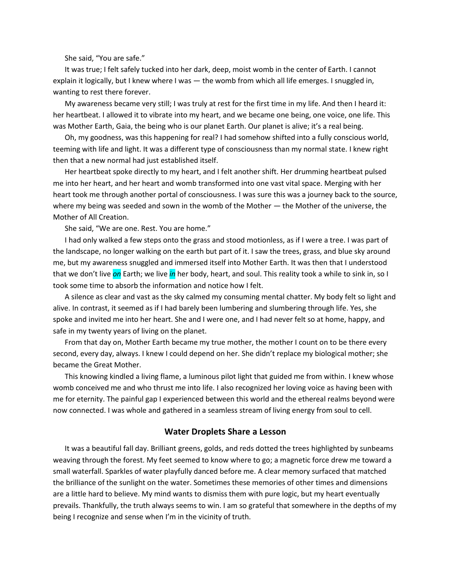She said, "You are safe."

It was true; I felt safely tucked into her dark, deep, moist womb in the center of Earth. I cannot explain it logically, but I knew where I was - the womb from which all life emerges. I snuggled in, wanting to rest there forever.

My awareness became very still; I was truly at rest for the first time in my life. And then I heard it: her heartbeat. I allowed it to vibrate into my heart, and we became one being, one voice, one life. This was Mother Earth, Gaia, the being who is our planet Earth. Our planet is alive; it's a real being.

Oh, my goodness, was this happening for real? I had somehow shifted into a fully conscious world, teeming with life and light. It was a different type of consciousness than my normal state. I knew right then that a new normal had just established itself.

Her heartbeat spoke directly to my heart, and I felt another shift. Her drumming heartbeat pulsed me into her heart, and her heart and womb transformed into one vast vital space. Merging with her heart took me through another portal of consciousness. I was sure this was a journey back to the source, where my being was seeded and sown in the womb of the Mother — the Mother of the universe, the Mother of All Creation.

She said, "We are one. Rest. You are home."

I had only walked a few steps onto the grass and stood motionless, as if I were a tree. I was part of the landscape, no longer walking on the earth but part of it. I saw the trees, grass, and blue sky around me, but my awareness snuggled and immersed itself into Mother Earth. It was then that I understood that we don't live *on* Earth; we live *in* her body, heart, and soul. This reality took a while to sink in, so I took some time to absorb the information and notice how I felt.

A silence as clear and vast as the sky calmed my consuming mental chatter. My body felt so light and alive. In contrast, it seemed as if I had barely been lumbering and slumbering through life. Yes, she spoke and invited me into her heart. She and I were one, and I had never felt so at home, happy, and safe in my twenty years of living on the planet.

From that day on, Mother Earth became my true mother, the mother I count on to be there every second, every day, always. I knew I could depend on her. She didn't replace my biological mother; she became the Great Mother.

This knowing kindled a living flame, a luminous pilot light that guided me from within. I knew whose womb conceived me and who thrust me into life. I also recognized her loving voice as having been with me for eternity. The painful gap I experienced between this world and the ethereal realms beyond were now connected. I was whole and gathered in a seamless stream of living energy from soul to cell.

#### **Water Droplets Share a Lesson**

It was a beautiful fall day. Brilliant greens, golds, and reds dotted the trees highlighted by sunbeams weaving through the forest. My feet seemed to know where to go; a magnetic force drew me toward a small waterfall. Sparkles of water playfully danced before me. A clear memory surfaced that matched the brilliance of the sunlight on the water. Sometimes these memories of other times and dimensions are a little hard to believe. My mind wants to dismiss them with pure logic, but my heart eventually prevails. Thankfully, the truth always seems to win. I am so grateful that somewhere in the depths of my being I recognize and sense when I'm in the vicinity of truth.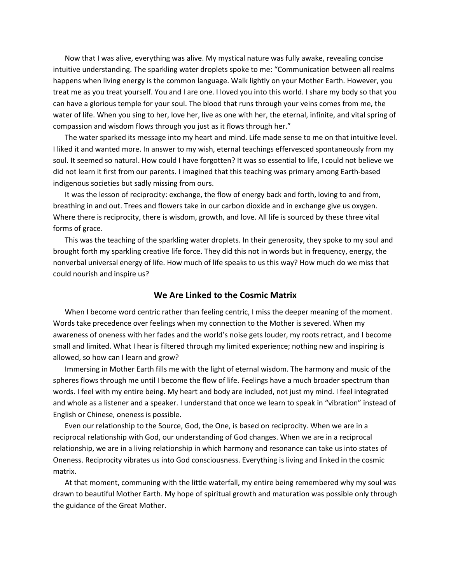Now that I was alive, everything was alive. My mystical nature was fully awake, revealing concise intuitive understanding. The sparkling water droplets spoke to me: "Communication between all realms happens when living energy is the common language. Walk lightly on your Mother Earth. However, you treat me as you treat yourself. You and I are one. I loved you into this world. I share my body so that you can have a glorious temple for your soul. The blood that runs through your veins comes from me, the water of life. When you sing to her, love her, live as one with her, the eternal, infinite, and vital spring of compassion and wisdom flows through you just as it flows through her."

The water sparked its message into my heart and mind. Life made sense to me on that intuitive level. I liked it and wanted more. In answer to my wish, eternal teachings effervesced spontaneously from my soul. It seemed so natural. How could I have forgotten? It was so essential to life, I could not believe we did not learn it first from our parents. I imagined that this teaching was primary among Earth-based indigenous societies but sadly missing from ours.

It was the lesson of reciprocity: exchange, the flow of energy back and forth, loving to and from, breathing in and out. Trees and flowers take in our carbon dioxide and in exchange give us oxygen. Where there is reciprocity, there is wisdom, growth, and love. All life is sourced by these three vital forms of grace.

This was the teaching of the sparkling water droplets. In their generosity, they spoke to my soul and brought forth my sparkling creative life force. They did this not in words but in frequency, energy, the nonverbal universal energy of life. How much of life speaks to us this way? How much do we miss that could nourish and inspire us?

#### **We Are Linked to the Cosmic Matrix**

When I become word centric rather than feeling centric, I miss the deeper meaning of the moment. Words take precedence over feelings when my connection to the Mother is severed. When my awareness of oneness with her fades and the world's noise gets louder, my roots retract, and I become small and limited. What I hear is filtered through my limited experience; nothing new and inspiring is allowed, so how can I learn and grow?

Immersing in Mother Earth fills me with the light of eternal wisdom. The harmony and music of the spheres flows through me until I become the flow of life. Feelings have a much broader spectrum than words. I feel with my entire being. My heart and body are included, not just my mind. I feel integrated and whole as a listener and a speaker. I understand that once we learn to speak in "vibration" instead of English or Chinese, oneness is possible.

Even our relationship to the Source, God, the One, is based on reciprocity. When we are in a reciprocal relationship with God, our understanding of God changes. When we are in a reciprocal relationship, we are in a living relationship in which harmony and resonance can take us into states of Oneness. Reciprocity vibrates us into God consciousness. Everything is living and linked in the cosmic matrix.

At that moment, communing with the little waterfall, my entire being remembered why my soul was drawn to beautiful Mother Earth. My hope of spiritual growth and maturation was possible only through the guidance of the Great Mother.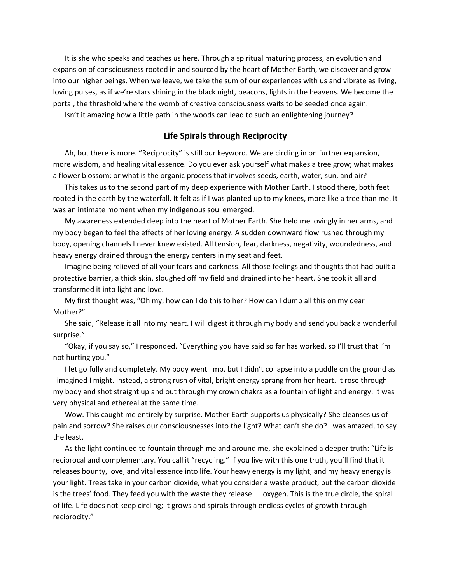It is she who speaks and teaches us here. Through a spiritual maturing process, an evolution and expansion of consciousness rooted in and sourced by the heart of Mother Earth, we discover and grow into our higher beings. When we leave, we take the sum of our experiences with us and vibrate as living, loving pulses, as if we're stars shining in the black night, beacons, lights in the heavens. We become the portal, the threshold where the womb of creative consciousness waits to be seeded once again.

Isn't it amazing how a little path in the woods can lead to such an enlightening journey?

## **Life Spirals through Reciprocity**

Ah, but there is more. "Reciprocity" is still our keyword. We are circling in on further expansion, more wisdom, and healing vital essence. Do you ever ask yourself what makes a tree grow; what makes a flower blossom; or what is the organic process that involves seeds, earth, water, sun, and air?

This takes us to the second part of my deep experience with Mother Earth. I stood there, both feet rooted in the earth by the waterfall. It felt as if I was planted up to my knees, more like a tree than me. It was an intimate moment when my indigenous soul emerged.

My awareness extended deep into the heart of Mother Earth. She held me lovingly in her arms, and my body began to feel the effects of her loving energy. A sudden downward flow rushed through my body, opening channels I never knew existed. All tension, fear, darkness, negativity, woundedness, and heavy energy drained through the energy centers in my seat and feet.

Imagine being relieved of all your fears and darkness. All those feelings and thoughts that had built a protective barrier, a thick skin, sloughed off my field and drained into her heart. She took it all and transformed it into light and love.

My first thought was, "Oh my, how can I do this to her? How can I dump all this on my dear Mother?"

She said, "Release it all into my heart. I will digest it through my body and send you back a wonderful surprise."

"Okay, if you say so," I responded. "Everything you have said so far has worked, so I'll trust that I'm not hurting you."

I let go fully and completely. My body went limp, but I didn't collapse into a puddle on the ground as I imagined I might. Instead, a strong rush of vital, bright energy sprang from her heart. It rose through my body and shot straight up and out through my crown chakra as a fountain of light and energy. It was very physical and ethereal at the same time.

Wow. This caught me entirely by surprise. Mother Earth supports us physically? She cleanses us of pain and sorrow? She raises our consciousnesses into the light? What can't she do? I was amazed, to say the least.

As the light continued to fountain through me and around me, she explained a deeper truth: "Life is reciprocal and complementary. You call it "recycling." If you live with this one truth, you'll find that it releases bounty, love, and vital essence into life. Your heavy energy is my light, and my heavy energy is your light. Trees take in your carbon dioxide, what you consider a waste product, but the carbon dioxide is the trees' food. They feed you with the waste they release — oxygen. This is the true circle, the spiral of life. Life does not keep circling; it grows and spirals through endless cycles of growth through reciprocity."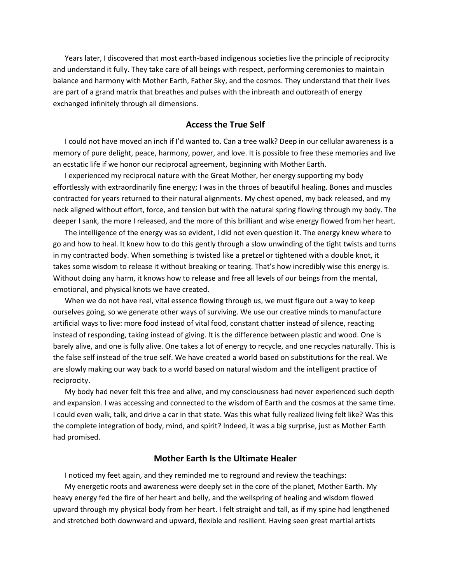Years later, I discovered that most earth-based indigenous societies live the principle of reciprocity and understand it fully. They take care of all beings with respect, performing ceremonies to maintain balance and harmony with Mother Earth, Father Sky, and the cosmos. They understand that their lives are part of a grand matrix that breathes and pulses with the inbreath and outbreath of energy exchanged infinitely through all dimensions.

### **Access the True Self**

I could not have moved an inch if I'd wanted to. Can a tree walk? Deep in our cellular awareness is a memory of pure delight, peace, harmony, power, and love. It is possible to free these memories and live an ecstatic life if we honor our reciprocal agreement, beginning with Mother Earth.

I experienced my reciprocal nature with the Great Mother, her energy supporting my body effortlessly with extraordinarily fine energy; I was in the throes of beautiful healing. Bones and muscles contracted for years returned to their natural alignments. My chest opened, my back released, and my neck aligned without effort, force, and tension but with the natural spring flowing through my body. The deeper I sank, the more I released, and the more of this brilliant and wise energy flowed from her heart.

The intelligence of the energy was so evident, I did not even question it. The energy knew where to go and how to heal. It knew how to do this gently through a slow unwinding of the tight twists and turns in my contracted body. When something is twisted like a pretzel or tightened with a double knot, it takes some wisdom to release it without breaking or tearing. That's how incredibly wise this energy is. Without doing any harm, it knows how to release and free all levels of our beings from the mental, emotional, and physical knots we have created.

When we do not have real, vital essence flowing through us, we must figure out a way to keep ourselves going, so we generate other ways of surviving. We use our creative minds to manufacture artificial ways to live: more food instead of vital food, constant chatter instead of silence, reacting instead of responding, taking instead of giving. It is the difference between plastic and wood. One is barely alive, and one is fully alive. One takes a lot of energy to recycle, and one recycles naturally. This is the false self instead of the true self. We have created a world based on substitutions for the real. We are slowly making our way back to a world based on natural wisdom and the intelligent practice of reciprocity.

My body had never felt this free and alive, and my consciousness had never experienced such depth and expansion. I was accessing and connected to the wisdom of Earth and the cosmos at the same time. I could even walk, talk, and drive a car in that state. Was this what fully realized living felt like? Was this the complete integration of body, mind, and spirit? Indeed, it was a big surprise, just as Mother Earth had promised.

## **Mother Earth Is the Ultimate Healer**

I noticed my feet again, and they reminded me to reground and review the teachings:

My energetic roots and awareness were deeply set in the core of the planet, Mother Earth. My heavy energy fed the fire of her heart and belly, and the wellspring of healing and wisdom flowed upward through my physical body from her heart. I felt straight and tall, as if my spine had lengthened and stretched both downward and upward, flexible and resilient. Having seen great martial artists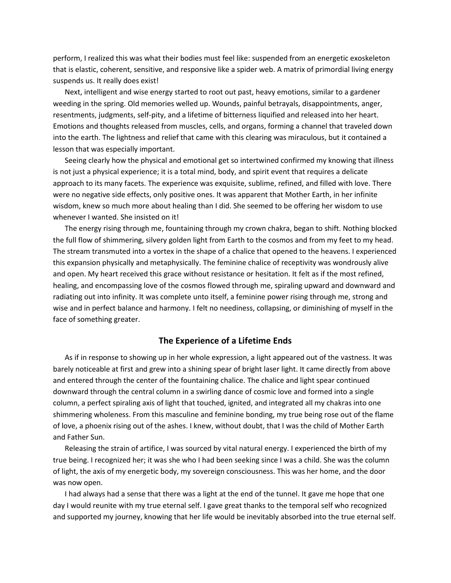perform, I realized this was what their bodies must feel like: suspended from an energetic exoskeleton that is elastic, coherent, sensitive, and responsive like a spider web. A matrix of primordial living energy suspends us. It really does exist!

Next, intelligent and wise energy started to root out past, heavy emotions, similar to a gardener weeding in the spring. Old memories welled up. Wounds, painful betrayals, disappointments, anger, resentments, judgments, self-pity, and a lifetime of bitterness liquified and released into her heart. Emotions and thoughts released from muscles, cells, and organs, forming a channel that traveled down into the earth. The lightness and relief that came with this clearing was miraculous, but it contained a lesson that was especially important.

Seeing clearly how the physical and emotional get so intertwined confirmed my knowing that illness is not just a physical experience; it is a total mind, body, and spirit event that requires a delicate approach to its many facets. The experience was exquisite, sublime, refined, and filled with love. There were no negative side effects, only positive ones. It was apparent that Mother Earth, in her infinite wisdom, knew so much more about healing than I did. She seemed to be offering her wisdom to use whenever I wanted. She insisted on it!

The energy rising through me, fountaining through my crown chakra, began to shift. Nothing blocked the full flow of shimmering, silvery golden light from Earth to the cosmos and from my feet to my head. The stream transmuted into a vortex in the shape of a chalice that opened to the heavens. I experienced this expansion physically and metaphysically. The feminine chalice of receptivity was wondrously alive and open. My heart received this grace without resistance or hesitation. It felt as if the most refined, healing, and encompassing love of the cosmos flowed through me, spiraling upward and downward and radiating out into infinity. It was complete unto itself, a feminine power rising through me, strong and wise and in perfect balance and harmony. I felt no neediness, collapsing, or diminishing of myself in the face of something greater.

#### **The Experience of a Lifetime Ends**

As if in response to showing up in her whole expression, a light appeared out of the vastness. It was barely noticeable at first and grew into a shining spear of bright laser light. It came directly from above and entered through the center of the fountaining chalice. The chalice and light spear continued downward through the central column in a swirling dance of cosmic love and formed into a single column, a perfect spiraling axis of light that touched, ignited, and integrated all my chakras into one shimmering wholeness. From this masculine and feminine bonding, my true being rose out of the flame of love, a phoenix rising out of the ashes. I knew, without doubt, that I was the child of Mother Earth and Father Sun.

Releasing the strain of artifice, I was sourced by vital natural energy. I experienced the birth of my true being. I recognized her; it was she who I had been seeking since I was a child. She was the column of light, the axis of my energetic body, my sovereign consciousness. This was her home, and the door was now open.

I had always had a sense that there was a light at the end of the tunnel. It gave me hope that one day I would reunite with my true eternal self. I gave great thanks to the temporal self who recognized and supported my journey, knowing that her life would be inevitably absorbed into the true eternal self.